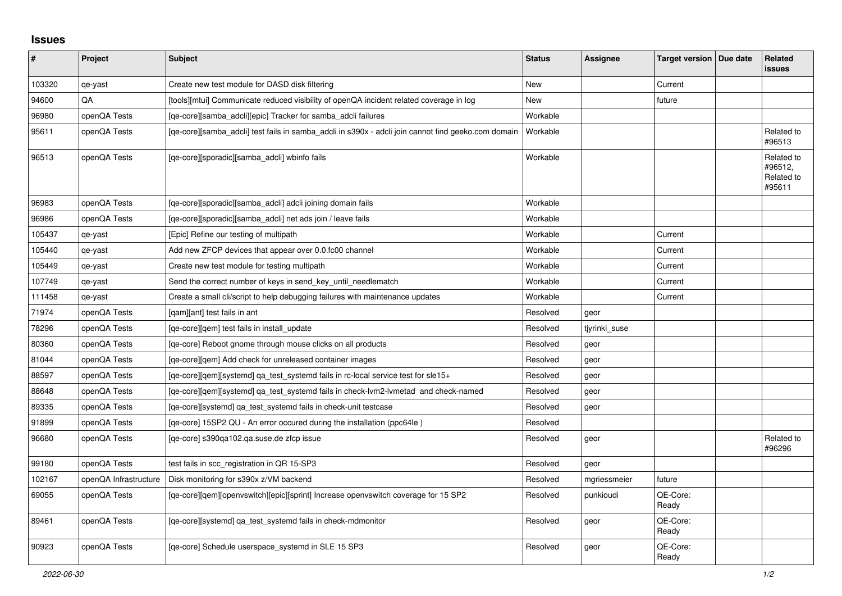## **Issues**

| #      | <b>Project</b>        | <b>Subject</b>                                                                                      | <b>Status</b>   | Assignee      | Target version   Due date | Related<br><b>issues</b>                      |
|--------|-----------------------|-----------------------------------------------------------------------------------------------------|-----------------|---------------|---------------------------|-----------------------------------------------|
| 103320 | qe-yast               | Create new test module for DASD disk filtering                                                      | <b>New</b>      |               | Current                   |                                               |
| 94600  | QA                    | [tools][mtui] Communicate reduced visibility of openQA incident related coverage in log             | New             |               | future                    |                                               |
| 96980  | openQA Tests          | [ge-core][samba adcli][epic] Tracker for samba adcli failures                                       | Workable        |               |                           |                                               |
| 95611  | openQA Tests          | [ge-core][samba adcli] test fails in samba adcli in s390x - adcli join cannot find geeko.com domain | <b>Workable</b> |               |                           | Related to<br>#96513                          |
| 96513  | openQA Tests          | [qe-core][sporadic][samba adcli] wbinfo fails                                                       | Workable        |               |                           | Related to<br>#96512,<br>Related to<br>#95611 |
| 96983  | openQA Tests          | [qe-core][sporadic][samba_adcli] adcli joining domain fails                                         | Workable        |               |                           |                                               |
| 96986  | openQA Tests          | [qe-core][sporadic][samba_adcli] net ads join / leave fails                                         | Workable        |               |                           |                                               |
| 105437 | qe-yast               | [Epic] Refine our testing of multipath                                                              | Workable        |               | Current                   |                                               |
| 105440 | qe-yast               | Add new ZFCP devices that appear over 0.0.fc00 channel                                              | Workable        |               | Current                   |                                               |
| 105449 | qe-yast               | Create new test module for testing multipath                                                        | Workable        |               | Current                   |                                               |
| 107749 | qe-yast               | Send the correct number of keys in send_key_until_needlematch                                       | Workable        |               | Current                   |                                               |
| 111458 | qe-yast               | Create a small cli/script to help debugging failures with maintenance updates                       | Workable        |               | Current                   |                                               |
| 71974  | openQA Tests          | [gam][ant] test fails in ant                                                                        | Resolved        | geor          |                           |                                               |
| 78296  | openQA Tests          | [qe-core][qem] test fails in install update                                                         | Resolved        | tiyrinki suse |                           |                                               |
| 80360  | openQA Tests          | [ge-core] Reboot gnome through mouse clicks on all products                                         | Resolved        | geor          |                           |                                               |
| 81044  | openQA Tests          | [ge-core][gem] Add check for unreleased container images                                            | Resolved        | geor          |                           |                                               |
| 88597  | openQA Tests          | [ge-core][gem][systemd] ga_test_systemd fails in rc-local service test for sle15+                   | Resolved        | geor          |                           |                                               |
| 88648  | openQA Tests          | [qe-core][qem][systemd] qa_test_systemd fails in check-lvm2-lvmetad and check-named                 | Resolved        | geor          |                           |                                               |
| 89335  | openQA Tests          | [qe-core][systemd] qa_test_systemd fails in check-unit testcase                                     | Resolved        | geor          |                           |                                               |
| 91899  | openQA Tests          | [ge-core] 15SP2 QU - An error occured during the installation (ppc64le)                             | Resolved        |               |                           |                                               |
| 96680  | openQA Tests          | [ge-core] s390ga102.ga.suse.de zfcp issue                                                           | Resolved        | geor          |                           | Related to<br>#96296                          |
| 99180  | openQA Tests          | test fails in scc_registration in QR 15-SP3                                                         | Resolved        | geor          |                           |                                               |
| 102167 | openQA Infrastructure | Disk monitoring for s390x z/VM backend                                                              | Resolved        | mgriessmeier  | future                    |                                               |
| 69055  | openQA Tests          | [qe-core][qem][openvswitch][epic][sprint] Increase openvswitch coverage for 15 SP2                  | Resolved        | punkioudi     | QE-Core:<br>Ready         |                                               |
| 89461  | openQA Tests          | [qe-core][systemd] qa_test_systemd fails in check-mdmonitor                                         | Resolved        | geor          | QE-Core:<br>Ready         |                                               |
| 90923  | openQA Tests          | [ge-core] Schedule userspace systemd in SLE 15 SP3                                                  | Resolved        | geor          | QE-Core:<br>Ready         |                                               |